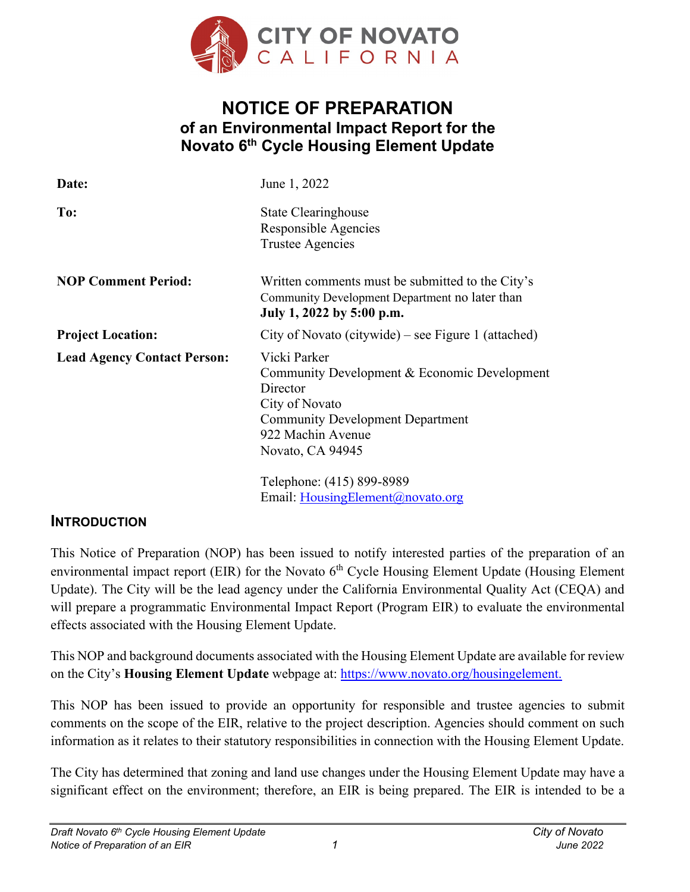

# **NOTICE OF PREPARATION of an Environmental Impact Report for the Novato 6th Cycle Housing Element Update**

| Date:                              | June 1, 2022                                                                                                                                                                   |
|------------------------------------|--------------------------------------------------------------------------------------------------------------------------------------------------------------------------------|
| To:                                | <b>State Clearinghouse</b><br>Responsible Agencies<br>Trustee Agencies                                                                                                         |
| <b>NOP Comment Period:</b>         | Written comments must be submitted to the City's<br>Community Development Department no later than<br>July 1, 2022 by 5:00 p.m.                                                |
| <b>Project Location:</b>           | City of Novato (citywide) – see Figure 1 (attached)                                                                                                                            |
| <b>Lead Agency Contact Person:</b> | Vicki Parker<br>Community Development & Economic Development<br>Director<br>City of Novato<br><b>Community Development Department</b><br>922 Machin Avenue<br>Novato, CA 94945 |
|                                    | Telephone: (415) 899-8989<br>Email: HousingElement@novato.org                                                                                                                  |

#### **INTRODUCTION**

This Notice of Preparation (NOP) has been issued to notify interested parties of the preparation of an environmental impact report (EIR) for the Novato 6<sup>th</sup> Cycle Housing Element Update (Housing Element Update). The City will be the lead agency under the California Environmental Quality Act (CEQA) and will prepare a programmatic Environmental Impact Report (Program EIR) to evaluate the environmental effects associated with the Housing Element Update.

This NOP and background documents associated with the Housing Element Update are available for review on the City's **Housing Element Update** webpage at: [https://www.novato.org/housingelement.](https://www.novato.org/housingelement)

This NOP has been issued to provide an opportunity for responsible and trustee agencies to submit comments on the scope of the EIR, relative to the project description. Agencies should comment on such information as it relates to their statutory responsibilities in connection with the Housing Element Update.

The City has determined that zoning and land use changes under the Housing Element Update may have a significant effect on the environment; therefore, an EIR is being prepared. The EIR is intended to be a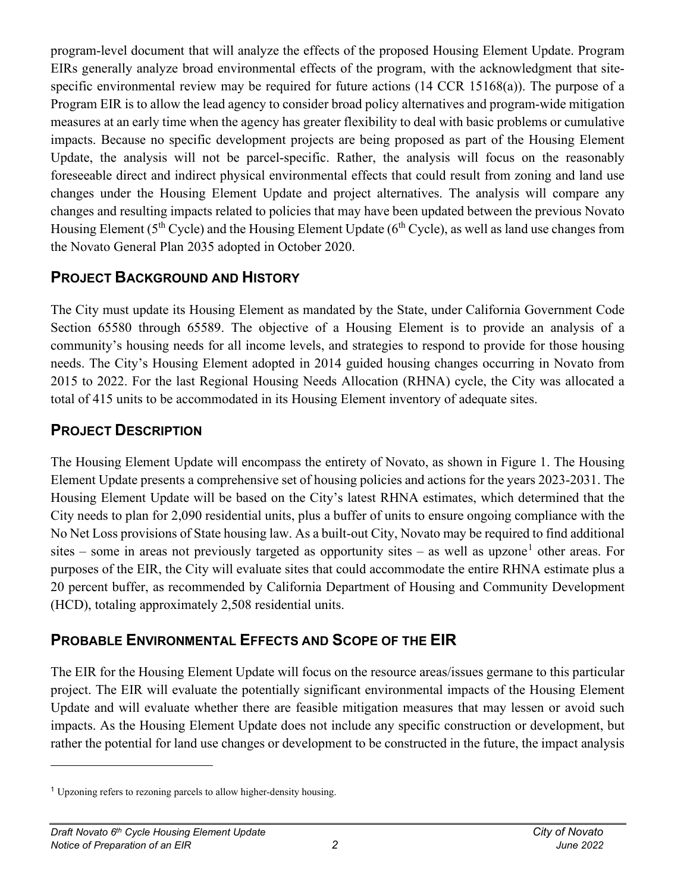program-level document that will analyze the effects of the proposed Housing Element Update. Program EIRs generally analyze broad environmental effects of the program, with the acknowledgment that sitespecific environmental review may be required for future actions (14 CCR 15168(a)). The purpose of a Program EIR is to allow the lead agency to consider broad policy alternatives and program-wide mitigation measures at an early time when the agency has greater flexibility to deal with basic problems or cumulative impacts. Because no specific development projects are being proposed as part of the Housing Element Update, the analysis will not be parcel-specific. Rather, the analysis will focus on the reasonably foreseeable direct and indirect physical environmental effects that could result from zoning and land use changes under the Housing Element Update and project alternatives. The analysis will compare any changes and resulting impacts related to policies that may have been updated between the previous Novato Housing Element ( $5<sup>th</sup>$  Cycle) and the Housing Element Update ( $6<sup>th</sup>$  Cycle), as well as land use changes from the Novato General Plan 2035 adopted in October 2020.

# **PROJECT BACKGROUND AND HISTORY**

The City must update its Housing Element as mandated by the State, under California Government Code Section 65580 through 65589. The objective of a Housing Element is to provide an analysis of a community's housing needs for all income levels, and strategies to respond to provide for those housing needs. The City's Housing Element adopted in 2014 guided housing changes occurring in Novato from 2015 to 2022. For the last Regional Housing Needs Allocation (RHNA) cycle, the City was allocated a total of 415 units to be accommodated in its Housing Element inventory of adequate sites.

#### **PROJECT DESCRIPTION**

The Housing Element Update will encompass the entirety of Novato, as shown in Figure 1. The Housing Element Update presents a comprehensive set of housing policies and actions for the years 2023-2031. The Housing Element Update will be based on the City's latest RHNA estimates, which determined that the City needs to plan for 2,090 residential units, plus a buffer of units to ensure ongoing compliance with the No Net Loss provisions of State housing law. As a built-out City, Novato may be required to find additional sites – some in areas not previously targeted as opportunity sites – as well as upzone<sup>[1](#page-1-0)</sup> other areas. For purposes of the EIR, the City will evaluate sites that could accommodate the entire RHNA estimate plus a 20 percent buffer, as recommended by California Department of Housing and Community Development (HCD), totaling approximately 2,508 residential units.

### **PROBABLE ENVIRONMENTAL EFFECTS AND SCOPE OF THE EIR**

The EIR for the Housing Element Update will focus on the resource areas/issues germane to this particular project. The EIR will evaluate the potentially significant environmental impacts of the Housing Element Update and will evaluate whether there are feasible mitigation measures that may lessen or avoid such impacts. As the Housing Element Update does not include any specific construction or development, but rather the potential for land use changes or development to be constructed in the future, the impact analysis

<span id="page-1-0"></span><sup>&</sup>lt;sup>1</sup> Upzoning refers to rezoning parcels to allow higher-density housing.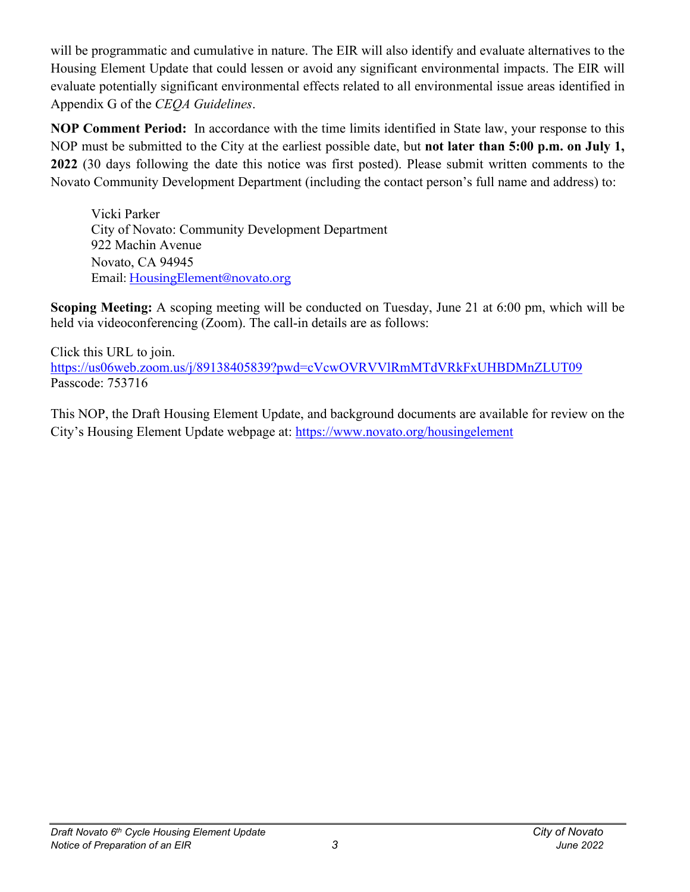will be programmatic and cumulative in nature. The EIR will also identify and evaluate alternatives to the Housing Element Update that could lessen or avoid any significant environmental impacts. The EIR will evaluate potentially significant environmental effects related to all environmental issue areas identified in Appendix G of the *CEQA Guidelines*.

**NOP Comment Period:** In accordance with the time limits identified in State law, your response to this NOP must be submitted to the City at the earliest possible date, but **not later than 5:00 p.m. on July 1, 2022** (30 days following the date this notice was first posted). Please submit written comments to the Novato Community Development Department (including the contact person's full name and address) to:

Vicki Parker City of Novato: Community Development Department 922 Machin Avenue Novato, CA 94945 Email: [HousingElement@novato.org](mailto:HousingElement@novato.org)

**Scoping Meeting:** A scoping meeting will be conducted on Tuesday, June 21 at 6:00 pm, which will be held via videoconferencing (Zoom). The call-in details are as follows:

Click this URL to join. <https://us06web.zoom.us/j/89138405839?pwd=cVcwOVRVVlRmMTdVRkFxUHBDMnZLUT09> Passcode: 753716

This NOP, the Draft Housing Element Update, and background documents are available for review on the City's Housing Element Update webpage at: <https://www.novato.org/housingelement>